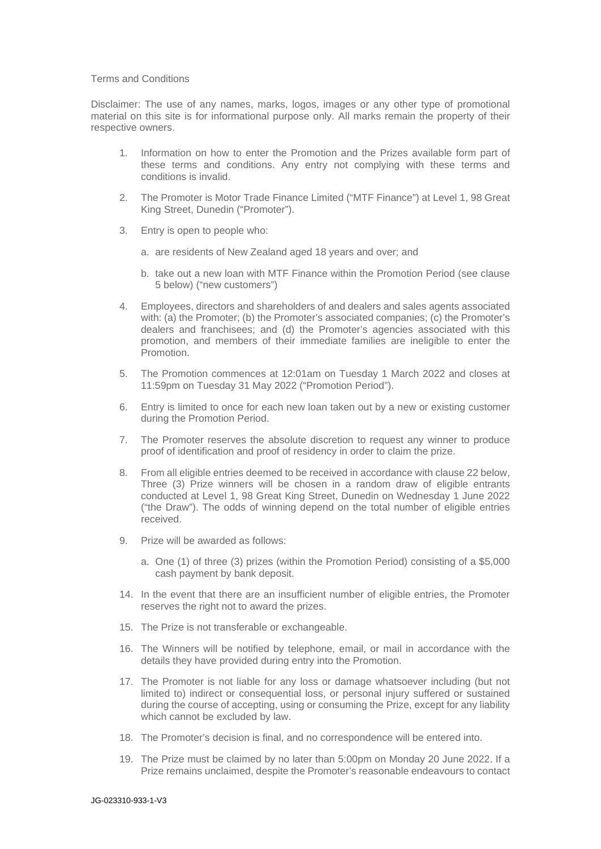## Terms and Conditions

Disclaimer: The use of any names, marks, logos, images or any other type of promotional material on this site is for informational purpose only. All marks remain the property of their respective owners.

- 1. Information on how to enter the Promotion and the Prizes available form part of these terms and conditions. Any entry not complying with these terms and conditions is invalid.
- 2. The Promoter is Motor Trade Finance Limited ("MTF Finance") at Level 1, 98 Great King Street, Dunedin ("Promoter").
- 3. Entry is open to people who:
	- a. are residents of New Zealand aged 18 years and over; and
	- b. take out a new loan with MTF Finance within the Promotion Period (see clause 5 below) ("new customers")
- 4. Employees, directors and shareholders of and dealers and sales agents associated with: (a) the Promoter; (b) the Promoter's associated companies; (c) the Promoter's dealers and franchisees; and (d) the Promoter's agencies associated with this promotion, and members of their immediate families are ineligible to enter the Promotion.
- 5. The Promotion commences at 12:01am on Tuesday 1 March 2022 and closes at 11:59pm on Tuesday 31 May 2022 ("Promotion Period").
- 6. Entry is limited to once for each new loan taken out by a new or existing customer during the Promotion Period.
- 7. The Promoter reserves the absolute discretion to request any winner to produce proof of identification and proof of residency in order to claim the prize.
- 8. From all eligible entries deemed to be received in accordance with clause 22 below, Three (3) Prize winners will be chosen in a random draw of eligible entrants conducted at Level 1, 98 Great King Street, Dunedin on Wednesday 1 June 2022 ("the Draw"). The odds of winning depend on the total number of eligible entries received.
- 9. Prize will be awarded as follows:
	- a. One (1) of three (3) prizes (within the Promotion Period) consisting of a \$5,000 cash payment by bank deposit.
- 14. In the event that there are an insufficient number of eligible entries, the Promoter reserves the right not to award the prizes.
- 15. The Prize is not transferable or exchangeable.
- 16. The Winners will be notified by telephone, email, or mail in accordance with the details they have provided during entry into the Promotion.
- 17. The Promoter is not liable for any loss or damage whatsoever including (but not limited to) indirect or consequential loss, or personal injury suffered or sustained during the course of accepting, using or consuming the Prize, except for any liability which cannot be excluded by law.
- 18. The Promoter's decision is final, and no correspondence will be entered into.
- 19. The Prize must be claimed by no later than 5:00pm on Monday 20 June 2022. If a Prize remains unclaimed, despite the Promoter's reasonable endeavours to contact